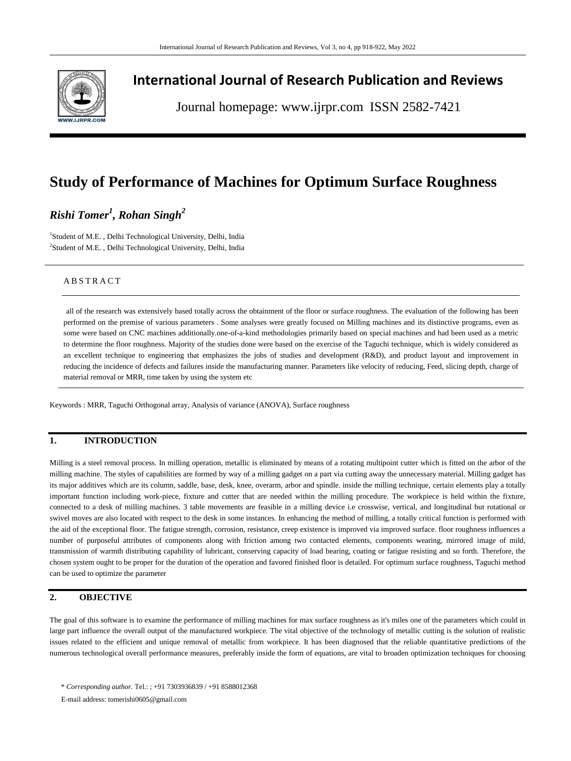

## **International Journal of Research Publication and Reviews**

Journal homepage: www.ijrpr.com ISSN 2582-7421

# **Study of Performance of Machines for Optimum Surface Roughness**

## *Rishi Tomer<sup>1</sup> , Rohan Singh<sup>2</sup>*

<sup>1</sup>Student of M.E., Delhi Technological University, Delhi, India 2 Student of M.E. , Delhi Technological University, Delhi, India

## A B S T R A C T

all of the research was extensively based totally across the obtainment of the floor or surface roughness. The evaluation of the following has been performed on the premise of various parameters . Some analyses were greatly focused on Milling machines and its distinctive programs, even as some were based on CNC machines additionally.one-of-a-kind methodologies primarily based on special machines and had been used as a metric to determine the floor roughness. Majority of the studies done were based on the exercise of the Taguchi technique, which is widely considered as an excellent technique to engineering that emphasizes the jobs of studies and development (R&D), and product layout and improvement in reducing the incidence of defects and failures inside the manufacturing manner. Parameters like velocity of reducing, Feed, slicing depth, charge of material removal or MRR, time taken by using the system etc

Keywords : MRR, Taguchi Orthogonal array, Analysis of variance (ANOVA), Surface roughness

## **1. INTRODUCTION**

Milling is a steel removal process. In milling operation, metallic is eliminated by means of a rotating multipoint cutter which is fitted on the arbor of the milling machine. The styles of capabilities are formed by way of a milling gadget on a part via cutting away the unnecessary material. Milling gadget has its major additives which are its column, saddle, base, desk, knee, overarm, arbor and spindle. inside the milling technique, certain elements play a totally important function including work-piece, fixture and cutter that are needed within the milling procedure. The workpiece is held within the fixture, connected to a desk of milling machines. 3 table movements are feasible in a milling device i.e crosswise, vertical, and longitudinal but rotational or swivel moves are also located with respect to the desk in some instances. In enhancing the method of milling, a totally critical function is performed with the aid of the exceptional floor. The fatigue strength, corrosion, resistance, creep existence is improved via improved surface. floor roughness influences a number of purposeful attributes of components along with friction among two contacted elements, components wearing, mirrored image of mild, transmission of warmth distributing capability of lubricant, conserving capacity of load bearing, coating or fatigue resisting and so forth. Therefore, the chosen system ought to be proper for the duration of the operation and favored finished floor is detailed. For optimum surface roughness, Taguchi method can be used to optimize the parameter

#### **2. OBJECTIVE**

The goal of this software is to examine the performance of milling machines for max surface roughness as it's miles one of the parameters which could in large part influence the overall output of the manufactured workpiece. The vital objective of the technology of metallic cutting is the solution of realistic issues related to the efficient and unique removal of metallic from workpiece. It has been diagnosed that the reliable quantitative predictions of the numerous technological overall performance measures, preferably inside the form of equations, are vital to broaden optimization techniques for choosing

<sup>\*</sup> *Corresponding author.* Tel.: ; +91 7303936839 / +91 8588012368

E-mail address: tomerishi0605@gmail.com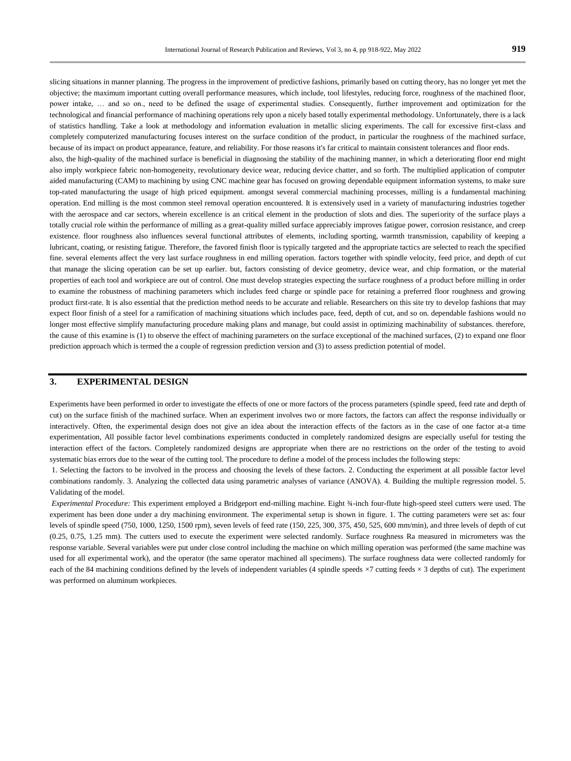slicing situations in manner planning. The progress in the improvement of predictive fashions, primarily based on cutting theory, has no longer yet met the objective; the maximum important cutting overall performance measures, which include, tool lifestyles, reducing force, roughness of the machined floor, power intake, … and so on., need to be defined the usage of experimental studies. Consequently, further improvement and optimization for the technological and financial performance of machining operations rely upon a nicely based totally experimental methodology. Unfortunately, there is a lack of statistics handling. Take a look at methodology and information evaluation in metallic slicing experiments. The call for excessive first-class and completely computerized manufacturing focuses interest on the surface condition of the product, in particular the roughness of the machined surface, because of its impact on product appearance, feature, and reliability. For those reasons it's far critical to maintain consistent tolerances and floor ends. also, the high-quality of the machined surface is beneficial in diagnosing the stability of the machining manner, in which a deteriorating floor end might also imply workpiece fabric non-homogeneity, revolutionary device wear, reducing device chatter, and so forth. The multiplied application of computer aided manufacturing (CAM) to machining by using CNC machine gear has focused on growing dependable equipment information systems, to make sure top-rated manufacturing the usage of high priced equipment. amongst several commercial machining processes, milling is a fundamental machining operation. End milling is the most common steel removal operation encountered. It is extensively used in a variety of manufacturing industries together with the aerospace and car sectors, wherein excellence is an critical element in the production of slots and dies. The superiority of the surface plays a totally crucial role within the performance of milling as a great-quality milled surface appreciably improves fatigue power, corrosion resistance, and creep existence. floor roughness also influences several functional attributes of elements, including sporting, warmth transmission, capability of keeping a lubricant, coating, or resisting fatigue. Therefore, the favored finish floor is typically targeted and the appropriate tactics are selected to reach the specified fine. several elements affect the very last surface roughness in end milling operation. factors together with spindle velocity, feed price, and depth of cut that manage the slicing operation can be set up earlier. but, factors consisting of device geometry, device wear, and chip formation, or the material properties of each tool and workpiece are out of control. One must develop strategies expecting the surface roughness of a product before milling in order to examine the robustness of machining parameters which includes feed charge or spindle pace for retaining a preferred floor roughness and growing product first-rate. It is also essential that the prediction method needs to be accurate and reliable. Researchers on this site try to develop fashions that may expect floor finish of a steel for a ramification of machining situations which includes pace, feed, depth of cut, and so on. dependable fashions would no longer most effective simplify manufacturing procedure making plans and manage, but could assist in optimizing machinability of substances. therefore, the cause of this examine is (1) to observe the effect of machining parameters on the surface exceptional of the machined surfaces, (2) to expand one floor prediction approach which is termed the a couple of regression prediction version and (3) to assess prediction potential of model.

#### **3. EXPERIMENTAL DESIGN**

Experiments have been performed in order to investigate the effects of one or more factors of the process parameters (spindle speed, feed rate and depth of cut) on the surface finish of the machined surface. When an experiment involves two or more factors, the factors can affect the response individually or interactively. Often, the experimental design does not give an idea about the interaction effects of the factors as in the case of one factor at-a time experimentation, All possible factor level combinations experiments conducted in completely randomized designs are especially useful for testing the interaction effect of the factors. Completely randomized designs are appropriate when there are no restrictions on the order of the testing to avoid systematic bias errors due to the wear of the cutting tool. The procedure to define a model of the process includes the following steps:

1. Selecting the factors to be involved in the process and choosing the levels of these factors. 2. Conducting the experiment at all possible factor level combinations randomly. 3. Analyzing the collected data using parametric analyses of variance (ANOVA). 4. Building the multiple regression model. 5. Validating of the model.

*Experimental Procedure:* This experiment employed a Bridgeport end-milling machine. Eight ¾-inch four-flute high-speed steel cutters were used. The experiment has been done under a dry machining environment. The experimental setup is shown in figure. 1. The cutting parameters were set as: four levels of spindle speed (750, 1000, 1250, 1500 rpm), seven levels of feed rate (150, 225, 300, 375, 450, 525, 600 mm/min), and three levels of depth of cut (0.25, 0.75, 1.25 mm). The cutters used to execute the experiment were selected randomly. Surface roughness Ra measured in micrometers was the response variable. Several variables were put under close control including the machine on which milling operation was performed (the same machine was used for all experimental work), and the operator (the same operator machined all specimens). The surface roughness data were collected randomly for each of the 84 machining conditions defined by the levels of independent variables (4 spindle speeds  $\times$ 7 cutting feeds  $\times$  3 depths of cut). The experiment was performed on aluminum workpieces.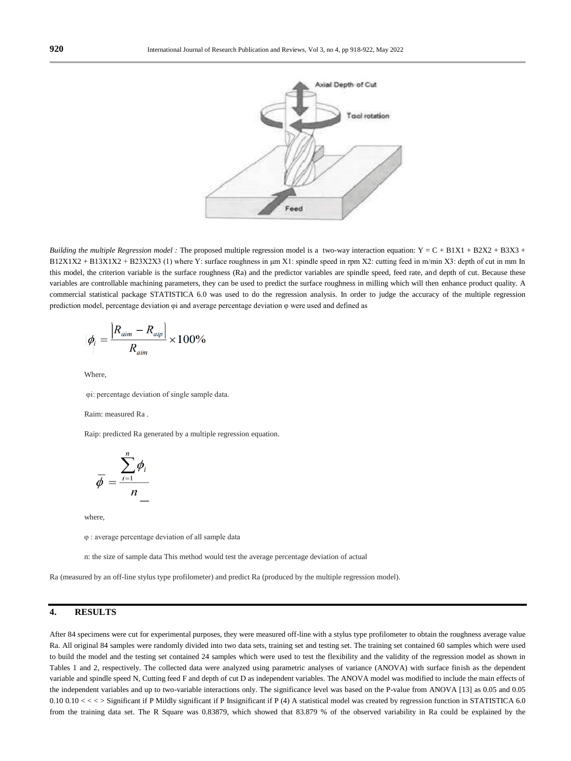

*Building the multiple Regression model :* The proposed multiple regression model is a two-way interaction equation: Y = C + B1X1 + B2X2 + B3X3 +  $B12X1X2 + B13X1X2 + B23X2X3$  (1) where Y: surface roughness in um X1: spindle speed in rpm X2: cutting feed in m/min X3: depth of cut in mm In this model, the criterion variable is the surface roughness (Ra) and the predictor variables are spindle speed, feed rate, and depth of cut. Because these variables are controllable machining parameters, they can be used to predict the surface roughness in milling which will then enhance product quality. A commercial statistical package STATISTICA 6.0 was used to do the regression analysis. In order to judge the accuracy of the multiple regression prediction model, percentage deviation φi and average percentage deviation φ were used and defined as

$$
\phi_{i}=\frac{\left|R_{\textit{aim}}-R_{\textit{aip}}\right|}{R_{\textit{aim}}}\times100\%
$$

Where,

φi: percentage deviation of single sample data.

#### Raim: measured Ra .

Raip: predicted Ra generated by a multiple regression equation.

$$
\overline{\phi} = \frac{\sum_{i=1}^{n} \phi_i}{n}
$$

where,

φ : average percentage deviation of all sample data

n: the size of sample data This method would test the average percentage deviation of actual

Ra (measured by an off-line stylus type profilometer) and predict Ra (produced by the multiple regression model).

### **4. RESULTS**

After 84 specimens were cut for experimental purposes, they were measured off-line with a stylus type profilometer to obtain the roughness average value Ra. All original 84 samples were randomly divided into two data sets, training set and testing set. The training set contained 60 samples which were used to build the model and the testing set contained 24 samples which were used to test the flexibility and the validity of the regression model as shown in Tables 1 and 2, respectively. The collected data were analyzed using parametric analyses of variance (ANOVA) with surface finish as the dependent variable and spindle speed N, Cutting feed F and depth of cut D as independent variables. The ANOVA model was modified to include the main effects of the independent variables and up to two-variable interactions only. The significance level was based on the P-value from ANOVA [13] as 0.05 and 0.05 0.10 0.10 < < > Significant if P Mildly significant if P Insignificant if P (4) A statistical model was created by regression function in STATISTICA 6.0 from the training data set. The R Square was 0.83879, which showed that 83.879 % of the observed variability in Ra could be explained by the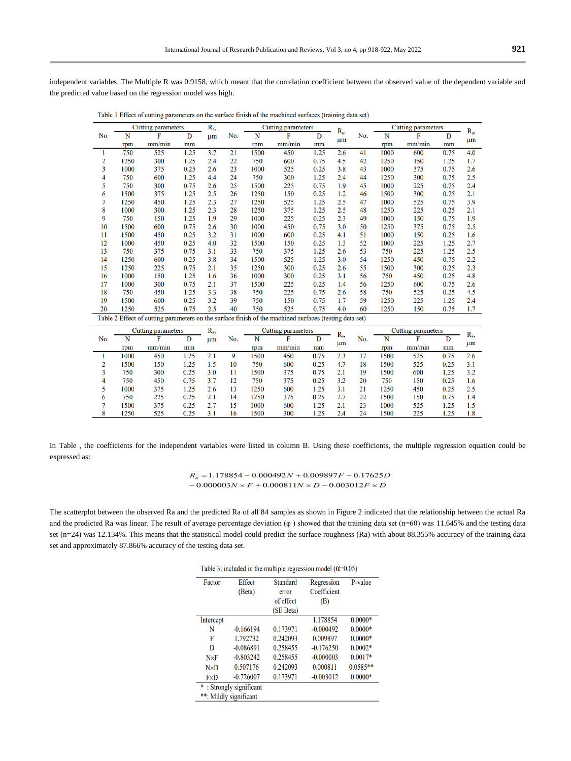independent variables. The Multiple R was 0.9158, which meant that the correlation coefficient between the observed value of the dependent variable and the predicted value based on the regression model was high.

Table 1 Effect of cutting parameters on the surface finish of the machined surfaces (training data set)

|     | Cutting parameters |                                                                                                        |      | $R_a$   |     | <b>Cutting parameters</b><br>$R_{a}$ |        |      |     | Cutting parameters |      |        | $R_a$ |         |
|-----|--------------------|--------------------------------------------------------------------------------------------------------|------|---------|-----|--------------------------------------|--------|------|-----|--------------------|------|--------|-------|---------|
| No. | N                  | F                                                                                                      | D    | $\mu$ m | No. | N                                    | F      | D    |     | No.                | N    | F      | D     |         |
|     | rpm                | mm/min                                                                                                 | mm   |         |     | rpm                                  | mm/min | mm   | um  |                    | rpm  | mm/min | mm    | $\mu$ m |
|     | 750                | 525                                                                                                    | 1.25 | 3.7     | 21  | 1500                                 | 450    | 1.25 | 2.6 | 41                 | 1000 | 600    | 0.75  | 4.0     |
| 2   | 1250               | 300                                                                                                    | 1.25 | 2.4     | 22  | 750                                  | 600    | 0.75 | 4.5 | 42                 | 1250 | 150    | 1.25  | 1.7     |
| 3   | 1000               | 375                                                                                                    | 0.25 | 2.6     | 23  | 1000                                 | 525    | 0.25 | 3.8 | 43                 | 1000 | 375    | 0.75  | 2.6     |
| 4   | 750                | 600                                                                                                    | 1.25 | 4.4     | 24  | 750                                  | 300    | 1.25 | 2.4 | 44                 | 1250 | 300    | 0.75  | 2.5     |
| 5   | 750                | 300                                                                                                    | 0.75 | 2.6     | 25  | 1500                                 | 225    | 0.75 | 1.9 | 45                 | 1000 | 225    | 0.75  | 2.4     |
| 6   | 1500               | 375                                                                                                    | 1.25 | 2.5     | 26  | 1250                                 | 150    | 0.25 | 1.2 | 46                 | 1500 | 300    | 0.75  | 2.1     |
| 7   | 1250               | 450                                                                                                    | 1.25 | 2.3     | 27  | 1250                                 | 525    | 1.25 | 2.5 | 47                 | 1000 | 525    | 0.75  | 3.9     |
| 8   | 1000               | 300                                                                                                    | 1.25 | 2.3     | 28  | 1250                                 | 375    | 1.25 | 2.5 | 48                 | 1250 | 225    | 0.25  | 2.1     |
| 9   | 750                | 150                                                                                                    | 1.25 | 1.9     | 29  | 1000                                 | 225    | 0.25 | 2.3 | 49                 | 1000 | 150    | 0.75  | 1.9     |
| 10  | 1500               | 600                                                                                                    | 0.75 | 2.6     | 30  | 1000                                 | 450    | 0.75 | 3.0 | 50                 | 1250 | 375    | 0.75  | 2.5     |
| 11  | 1500               | 450                                                                                                    | 0.25 | 3.2     | 31  | 1000                                 | 600    | 0.25 | 4.1 | 51                 | 1000 | 150    | 0.25  | 1.6     |
| 12  | 1000               | 450                                                                                                    | 0.25 | 4.0     | 32  | 1500                                 | 150    | 0.25 | 1.3 | 52                 | 1000 | 225    | 1.25  | 2.7     |
| 13  | 750                | 375                                                                                                    | 0.75 | 3.1     | 33  | 750                                  | 375    | 1.25 | 2.6 | 53                 | 750  | 225    | 1.25  | 2.5     |
| 14  | 1250               | 600                                                                                                    | 0.25 | 3.8     | 34  | 1500                                 | 525    | 1.25 | 3.0 | 54                 | 1250 | 450    | 0.75  | 2.2     |
| 15  | 1250               | 225                                                                                                    | 0.75 | 2.1     | 35  | 1250                                 | 300    | 0.25 | 2.6 | 55                 | 1500 | 300    | 0.25  | 2.3     |
| 16  | 1000               | 150                                                                                                    | 1.25 | 1.6     | 36  | 1000                                 | 300    | 0.25 | 3.1 | 56                 | 750  | 450    | 0.25  | 4.8     |
| 17  | 1000               | 300                                                                                                    | 0.75 | 2.1     | 37  | 1500                                 | 225    | 0.25 | 1.4 | 56                 | 1250 | 600    | 0.75  | 2.6     |
| 18  | 750                | 450                                                                                                    | 1.25 | 3.3     | 38  | 750                                  | 225    | 0.75 | 2.6 | 58                 | 750  | 525    | 0.25  | 4.5     |
| 19  | 1500               | 600                                                                                                    | 0.25 | 3.2     | 39  | 750                                  | 150    | 0.75 | 1.7 | 59                 | 1250 | 225    | 1.25  | 2.4     |
| 20  | 1250               | 525                                                                                                    | 0.75 | 2.5     | 40  | 750                                  | 525    | 0.75 | 4.0 | 60                 | 1250 | 150    | 0.75  | 1.7     |
|     |                    | Table 2 Effect of cutting parameters on the surface finish of the machined surfaces (testing data set) |      |         |     |                                      |        |      |     |                    |      |        |       |         |

|     |      | Cutting parameters |      | K <sub>a</sub> , |     |      | Cutting parameters |      | R <sub>a</sub> , |     |      | Cutting parameters |      | R <sub>a</sub> |
|-----|------|--------------------|------|------------------|-----|------|--------------------|------|------------------|-----|------|--------------------|------|----------------|
| No. | N    |                    | D    | um               | No. | N    |                    |      |                  | No. | N    |                    | D    |                |
|     | rpm  | mm/min             | mm   |                  |     | rpm  | mm/min             | mm   | um               |     | rpm  | mm/min             | mm   | um             |
|     | 1000 | 450                | 1.25 |                  |     | 1500 | 450                | 0.75 | 2.3              | 17  | 1500 | 525                | 0.75 | 2.6            |
|     | 1500 | 150                | 1.25 | 1.5              | 10  | 750  | 600                | 0.25 | 4.7              | 18  | 1500 | 525                | 0.25 | 3.1            |
|     | 750  | 300                | 0.25 | 3.0              |     | 1500 | 375                | 0.75 | 2.1              | 19  | 1500 | 600                | 1.25 | 3.2            |
|     | 750  | 450                | 0.75 |                  | 12  | 750  | 375                | 0.25 | 3.2              | 20  | 750  | 150                | 0.25 | 1.6            |
|     | 1000 | 375                | l.25 | 2.6              | 13  | 1250 | 600                | 1.25 | 3.1              | 21  | 1250 | 450                | 0.25 | 2.5            |
| 6   | 750  | 225                | 0.25 | 2.1              | 14  | 1250 | 375                | 0.25 | 2.7              | 22  | 1500 | 150                | 0.75 | 1.4            |
|     | 1500 | 375                | 0.25 |                  | 15  | 1000 | 600                | 1.25 | 2.1              | 23  | 1000 | 525                | 1.25 | 1.5            |
|     | 1250 | 525                | 0.25 | 3.1              | 16  | 1500 | 300                | 1.25 | 2.4              | 24  | 1500 | 225                | 1.25 | 1.8            |

In Table , the coefficients for the independent variables were listed in column B. Using these coefficients, the multiple regression equation could be expressed as:

> $R_a = 1.178854 - 0.000492N + 0.009897F - 0.17625D$  $-0.000003N \times F + 0.000811N \times D - 0.003012F \times D$

The scatterplot between the observed Ra and the predicted Ra of all 84 samples as shown in Figure 2 indicated that the relationship between the actual Ra and the predicted Ra was linear. The result of average percentage deviation (φ ) showed that the training data set (n=60) was 11.645% and the testing data set (n=24) was 12.134%. This means that the statistical model could predict the surface roughness (Ra) with about 88.355% accuracy of the training data set and approximately 87.866% accuracy of the testing data set.

|  |  | Table 3: included in the multiple regression model $(0=0.05)$ |  |  |
|--|--|---------------------------------------------------------------|--|--|
|  |  |                                                               |  |  |

| Factor                  | Effect      | Standard  | Regression  | P-value    |  |  |  |  |  |
|-------------------------|-------------|-----------|-------------|------------|--|--|--|--|--|
|                         | (Beta)      | error     | Coefficient |            |  |  |  |  |  |
|                         |             | of effect | (B)         |            |  |  |  |  |  |
|                         |             | (SE Beta) |             |            |  |  |  |  |  |
| Intercept               |             |           | 1.178854    | $0.0000*$  |  |  |  |  |  |
| N                       | $-0.166194$ | 0.173971  | $-0.000492$ | $0.0000*$  |  |  |  |  |  |
| F                       | 1.792732    | 0.242093  | 0.009897    | $0.0000*$  |  |  |  |  |  |
| D                       | $-0.086891$ | 0.258455  | $-0.176250$ | $0.0002*$  |  |  |  |  |  |
| $N \times F$            | $-0.803242$ | 0.258455  | $-0.000003$ | $0.0017*$  |  |  |  |  |  |
| NxD                     | 0.507176    | 0.242093  | 0.000811    | $0.0585**$ |  |  |  |  |  |
| FxD                     | $-0.726007$ | 0.173971  | $-0.003012$ | $0.0000*$  |  |  |  |  |  |
| *: Strongly significant |             |           |             |            |  |  |  |  |  |
| **: Mildly significant  |             |           |             |            |  |  |  |  |  |